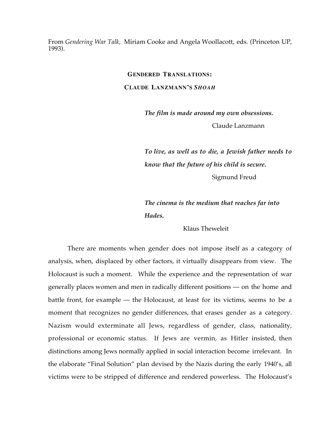From *Gendering War Talk,* Miriam Cooke and Angela Woollacott, eds. (Princeton UP, 1993).

## **GENDERED TRANSLATIONS: CLAUDE LANZMANN'S** *SHOAH*

*The film is made around my own obsessions.* Claude Lanzmann

*To live, as well as to die, a Jewish father needs to know that the future of his child is secure.* Sigmund Freud

*The cinema is the medium that reaches far into Hades.*

Klaus Theweleit

There are moments when gender does not impose itself as a category of analysis, when, displaced by other factors, it virtually disappears from view. The Holocaust is such a moment. While the experience and the representation of war generally places women and men in radically different positions — on the home and battle front, for example — the Holocaust, at least for its victims, seems to be a moment that recognizes no gender differences, that erases gender as a category. Nazism would exterminate all Jews, regardless of gender, class, nationality, professional or economic status. If Jews are vermin, as Hitler insisted, then distinctions among Jews normally applied in social interaction become irrelevant. In the elaborate "Final Solution" plan devised by the Nazis during the early 1940's, all victims were to be stripped of difference and rendered powerless. The Holocaust's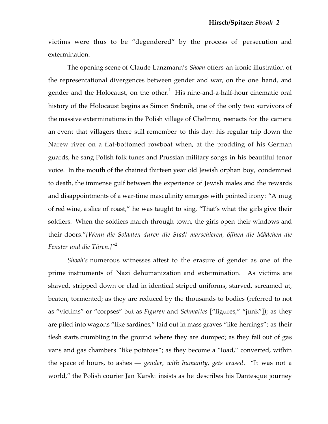victims were thus to be "degendered" by the process of persecution and extermination.

The opening scene of Claude Lanzmann's *Shoah* offers an ironic illustration of the representational divergences between gender and war, on the one hand, and gender and the Holocaust, on the other. $1$  His nine-and-a-half-hour cinematic oral history of the Holocaust begins as Simon Srebnik, one of the only two survivors of the massive exterminations in the Polish village of Chelmno, reenacts for the camera an event that villagers there still remember to this day: his regular trip down the Narew river on a flat-bottomed rowboat when, at the prodding of his German guards, he sang Polish folk tunes and Prussian military songs in his beautiful tenor voice. In the mouth of the chained thirteen year old Jewish orphan boy, condemned to death, the immense gulf between the experience of Jewish males and the rewards and disappointments of a war-time masculinity emerges with pointed irony: "A mug of red wine, a slice of roast," he was taught to sing, "That's what the girls give their soldiers. When the soldiers march through town, the girls open their windows and their doors."*[Wenn die Soldaten durch die Stadt marschieren, öffnen die Mädchen die Fenster und die Türen.]"*<sup>2</sup>

*Shoah's* numerous witnesses attest to the erasure of gender as one of the prime instruments of Nazi dehumanization and extermination. As victims are shaved, stripped down or clad in identical striped uniforms, starved, screamed at, beaten, tormented; as they are reduced by the thousands to bodies (referred to not as "victims" or "corpses" but as *Figuren* and *Schmattes* ["figures," "junk"]); as they are piled into wagons "like sardines," laid out in mass graves "like herrings"; as their flesh starts crumbling in the ground where they are dumped; as they fall out of gas vans and gas chambers "like potatoes"; as they become a "load," converted, within the space of hours, to ashes — *gender, with humanity, gets erased*. "It was not a world," the Polish courier Jan Karski insists as he describes his Dantesque journey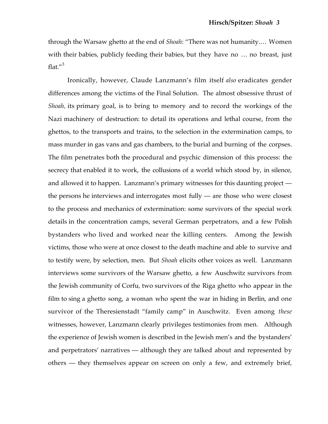through the Warsaw ghetto at the end of *Shoah*: "There was not humanity.… Women with their babies, publicly feeding their babies, but they have no ... no breast, just flat. $^{\prime\prime}$ <sup>3</sup>

Ironically, however, Claude Lanzmann's film itself *also* eradicates gender differences among the victims of the Final Solution. The almost obsessive thrust of *Shoah,* its primary goal, is to bring to memory and to record the workings of the Nazi machinery of destruction: to detail its operations and lethal course, from the ghettos, to the transports and trains, to the selection in the extermination camps, to mass murder in gas vans and gas chambers, to the burial and burning of the corpses. The film penetrates both the procedural and psychic dimension of this process: the secrecy that enabled it to work, the collusions of a world which stood by, in silence, and allowed it to happen. Lanzmann's primary witnesses for this daunting project the persons he interviews and interrogates most fully — are those who were closest to the process and mechanics of extermination: some survivors of the special work details in the concentration camps, several German perpetrators, and a few Polish bystanders who lived and worked near the killing centers. Among the Jewish victims, those who were at once closest to the death machine and able to survive and to testify were, by selection, men. But *Shoah* elicits other voices as well. Lanzmann interviews some survivors of the Warsaw ghetto, a few Auschwitz survivors from the Jewish community of Corfu, two survivors of the Riga ghetto who appear in the film to sing a ghetto song, a woman who spent the war in hiding in Berlin, and one survivor of the Theresienstadt "family camp" in Auschwitz. Even among *these* witnesses, however, Lanzmann clearly privileges testimonies from men. Although the experience of Jewish women is described in the Jewish men's and the bystanders' and perpetrators' narratives — although they are talked about and represented by others — they themselves appear on screen on only a few, and extremely brief,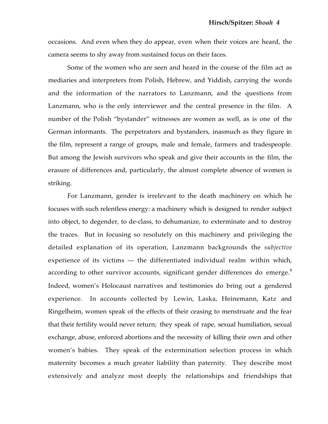occasions. And even when they do appear, even when their voices are heard, the camera seems to shy away from sustained focus on their faces.

Some of the women who are seen and heard in the course of the film act as mediaries and interpreters from Polish, Hebrew, and Yiddish, carrying the words and the information of the narrators to Lanzmann, and the questions from Lanzmann, who is the only interviewer and the central presence in the film. A number of the Polish "bystander" witnesses are women as well, as is one of the German informants. The perpetrators and bystanders, inasmuch as they figure in the film, represent a range of groups, male and female, farmers and tradespeople. But among the Jewish survivors who speak and give their accounts in the film, the erasure of differences and, particularly, the almost complete absence of women is striking.

For Lanzmann, gender is irrelevant to the death machinery on which he focuses with such relentless energy: a machinery which is designed to render subject into object, to degender, to de-class, to dehumanize, to exterminate and to destroy the traces. But in focusing so resolutely on this machinery and privileging the detailed explanation of its operation, Lanzmann backgrounds the *subjective* experience of its victims — the differentiated individual realm within which, according to other survivor accounts, significant gender differences do emerge. $^4$ Indeed, women's Holocaust narratives and testimonies do bring out a gendered experience. In accounts collected by Lewin, Laska, Heinemann, Katz and Ringelheim, women speak of the effects of their ceasing to menstruate and the fear that their fertility would never return; they speak of rape, sexual humiliation, sexual exchange, abuse, enforced abortions and the necessity of killing their own and other women's babies. They speak of the extermination selection process in which maternity becomes a much greater liability than paternity. They describe most extensively and analyze most deeply the relationships and friendships that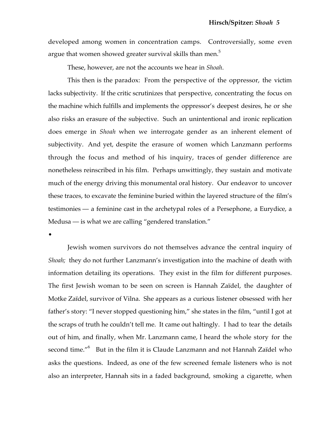developed among women in concentration camps. Controversially, some even argue that women showed greater survival skills than men.<sup>5</sup>

These, however, are not the accounts we hear in *Shoah*.

This then is the paradox: From the perspective of the oppressor, the victim lacks subjectivity. If the critic scrutinizes that perspective, concentrating the focus on the machine which fulfills and implements the oppressor's deepest desires, he or she also risks an erasure of the subjective. Such an unintentional and ironic replication does emerge in *Shoah* when we interrogate gender as an inherent element of subjectivity. And yet, despite the erasure of women which Lanzmann performs through the focus and method of his inquiry, traces of gender difference are nonetheless reinscribed in his film. Perhaps unwittingly, they sustain and motivate much of the energy driving this monumental oral history. Our endeavor to uncover these traces, to excavate the feminine buried within the layered structure of the film's testimonies — a feminine cast in the archetypal roles of a Persephone, a Eurydice, a Medusa — is what we are calling "gendered translation."

•

Jewish women survivors do not themselves advance the central inquiry of *Shoah;* they do not further Lanzmann's investigation into the machine of death with information detailing its operations. They exist in the film for different purposes. The first Jewish woman to be seen on screen is Hannah Zaïdel, the daughter of Motke Zaïdel, survivor of Vilna. She appears as a curious listener obsessed with her father's story: "I never stopped questioning him," she states in the film, "until I got at the scraps of truth he couldn't tell me. It came out haltingly. I had to tear the details out of him, and finally, when Mr. Lanzmann came, I heard the whole story for the second time."<sup>6</sup> But in the film it is Claude Lanzmann and not Hannah Zaïdel who asks the questions. Indeed, as one of the few screened female listeners who is not also an interpreter, Hannah sits in a faded background, smoking a cigarette, when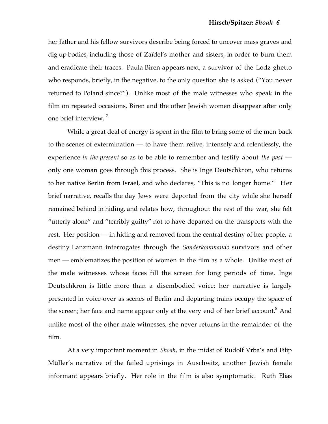her father and his fellow survivors describe being forced to uncover mass graves and dig up bodies, including those of Zaïdel's mother and sisters, in order to burn them and eradicate their traces. Paula Biren appears next, a survivor of the Lodz ghetto who responds, briefly, in the negative, to the only question she is asked ("You never returned to Poland since?"). Unlike most of the male witnesses who speak in the film on repeated occasions, Biren and the other Jewish women disappear after only one brief interview.<sup>7</sup>

While a great deal of energy is spent in the film to bring some of the men back to the scenes of extermination — to have them relive, intensely and relentlessly, the experience *in the present* so as to be able to remember and testify about *the past*  only one woman goes through this process. She is Inge Deutschkron, who returns to her native Berlin from Israel, and who declares, "This is no longer home." Her brief narrative, recalls the day Jews were deported from the city while she herself remained behind in hiding, and relates how, throughout the rest of the war, she felt "utterly alone" and "terribly guilty" not to have departed on the transports with the rest. Her position — in hiding and removed from the central destiny of her people, a destiny Lanzmann interrogates through the *Sonderkommando* survivors and other men — emblematizes the position of women in the film as a whole. Unlike most of the male witnesses whose faces fill the screen for long periods of time, Inge Deutschkron is little more than a disembodied voice: her narrative is largely presented in voice-over as scenes of Berlin and departing trains occupy the space of the screen; her face and name appear only at the very end of her brief account.<sup>8</sup> And unlike most of the other male witnesses, she never returns in the remainder of the film.

At a very important moment in *Shoah*, in the midst of Rudolf Vrba's and Filip Müller's narrative of the failed uprisings in Auschwitz, another Jewish female informant appears briefly. Her role in the film is also symptomatic. Ruth Elias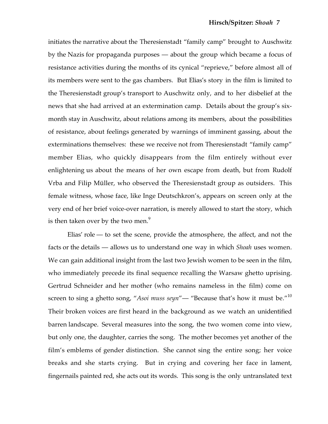initiates the narrative about the Theresienstadt "family camp" brought to Auschwitz by the Nazis for propaganda purposes — about the group which became a focus of resistance activities during the months of its cynical "reprieve," before almost all of its members were sent to the gas chambers. But Elias's story in the film is limited to the Theresienstadt group's transport to Auschwitz only, and to her disbelief at the news that she had arrived at an extermination camp. Details about the group's sixmonth stay in Auschwitz, about relations among its members, about the possibilities of resistance, about feelings generated by warnings of imminent gassing, about the exterminations themselves: these we receive not from Theresienstadt "family camp" member Elias, who quickly disappears from the film entirely without ever enlightening us about the means of her own escape from death, but from Rudolf Vrba and Filip Müller, who observed the Theresienstadt group as outsiders. This female witness, whose face, like Inge Deutschkron's, appears on screen only at the very end of her brief voice-over narration, is merely allowed to start the story, which is then taken over by the two men. $^9$ 

Elias' role — to set the scene, provide the atmosphere, the affect, and not the facts or the details — allows us to understand one way in which *Shoah* uses women. We can gain additional insight from the last two Jewish women to be seen in the film, who immediately precede its final sequence recalling the Warsaw ghetto uprising. Gertrud Schneider and her mother (who remains nameless in the film) come on screen to sing a ghetto song, "Asoi muss seyn"— "Because that's how it must be."<sup>10</sup> Their broken voices are first heard in the background as we watch an unidentified barren landscape. Several measures into the song, the two women come into view, but only one, the daughter, carries the song. The mother becomes yet another of the film's emblems of gender distinction. She cannot sing the entire song; her voice breaks and she starts crying. But in crying and covering her face in lament, fingernails painted red, she acts out its words. This song is the only untranslated text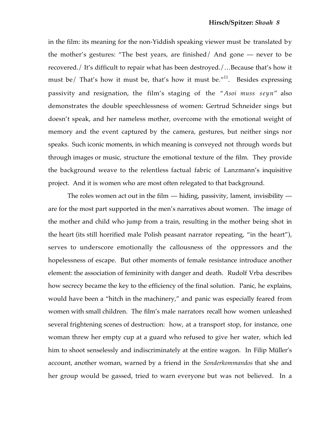in the film: its meaning for the non-Yiddish speaking viewer must be translated by the mother's gestures: "The best years, are finished/ And gone — never to be recovered./ It's difficult to repair what has been destroyed./…Because that's how it must be/ That's how it must be, that's how it must be. $^{\prime\prime}{}^{11}$ . Besides expressing passivity and resignation, the film's staging of the "*Asoi muss seyn*" also demonstrates the double speechlessness of women: Gertrud Schneider sings but doesn't speak, and her nameless mother, overcome with the emotional weight of memory and the event captured by the camera, gestures, but neither sings nor speaks. Such iconic moments, in which meaning is conveyed not through words but through images or music, structure the emotional texture of the film. They provide the background weave to the relentless factual fabric of Lanzmann's inquisitive project. And it is women who are most often relegated to that background.

The roles women act out in the film  $-$  hiding, passivity, lament, invisibility  $$ are for the most part supported in the men's narratives about women. The image of the mother and child who jump from a train, resulting in the mother being shot in the heart (its still horrified male Polish peasant narrator repeating, "in the heart"), serves to underscore emotionally the callousness of the oppressors and the hopelessness of escape. But other moments of female resistance introduce another element: the association of femininity with danger and death. Rudolf Vrba describes how secrecy became the key to the efficiency of the final solution. Panic, he explains, would have been a "hitch in the machinery," and panic was especially feared from women with small children. The film's male narrators recall how women unleashed several frightening scenes of destruction: how, at a transport stop, for instance, one woman threw her empty cup at a guard who refused to give her water, which led him to shoot senselessly and indiscriminately at the entire wagon. In Filip Müller's account, another woman, warned by a friend in the *Sonderkommandos* that she and her group would be gassed, tried to warn everyone but was not believed. In a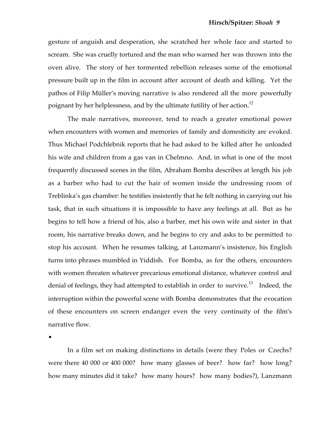gesture of anguish and desperation, she scratched her whole face and started to scream. She was cruelly tortured and the man who warned her was thrown into the oven alive. The story of her tormented rebellion releases some of the emotional pressure built up in the film in account after account of death and killing. Yet the pathos of Filip Müller's moving narrative is also rendered all the more powerfully poignant by her helplessness, and by the ultimate futility of her action.<sup>12</sup>

The male narratives, moreover, tend to reach a greater emotional power when encounters with women and memories of family and domesticity are evoked. Thus Michael Podchlebnik reports that he had asked to be killed after he unloaded his wife and children from a gas van in Chelmno. And, in what is one of the most frequently discussed scenes in the film, Abraham Bomba describes at length his job as a barber who had to cut the hair of women inside the undressing room of Treblinka's gas chamber: he testifies insistently that he felt nothing in carrying out his task, that in such situations it is impossible to have any feelings at all. But as he begins to tell how a friend of his, also a barber, met his own wife and sister in that room, his narrative breaks down, and he begins to cry and asks to be permitted to stop his account. When he resumes talking, at Lanzmann's insistence, his English turns into phrases mumbled in Yiddish. For Bomba, as for the others, encounters with women threaten whatever precarious emotional distance, whatever control and denial of feelings, they had attempted to establish in order to survive.<sup>13</sup> Indeed, the interruption within the powerful scene with Bomba demonstrates that the evocation of these encounters on screen endanger even the very continuity of the film's narrative flow.

•

In a film set on making distinctions in details (were they Poles or Czechs? were there 40 000 or 400 000? how many glasses of beer? how far? how long? how many minutes did it take? how many hours? how many bodies?), Lanzmann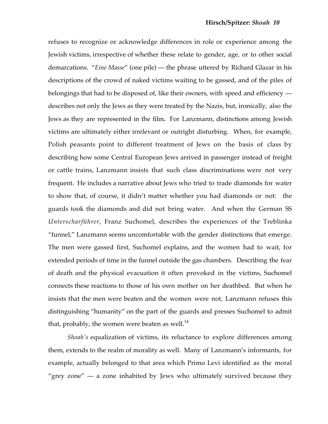refuses to recognize or acknowledge differences in role or experience among the Jewish victims, irrespective of whether these relate to gender, age, or to other social demarcations. "*Eine Masse*" (one pile) — the phrase uttered by Richard Glazar in his descriptions of the crowd of naked victims waiting to be gassed, and of the piles of belongings that had to be disposed of, like their owners, with speed and efficiency describes not only the Jews as they were treated by the Nazis, but, ironically, also the Jews as they are represented in the film**.** For Lanzmann, distinctions among Jewish victims are ultimately either irrelevant or outright disturbing. When, for example, Polish peasants point to different treatment of Jews on the basis of class by describing how some Central European Jews arrived in passenger instead of freight or cattle trains, Lanzmann insists that such class discriminations were not very frequent. He includes a narrative about Jews who tried to trade diamonds for water to show that, of course, it didn't matter whether you had diamonds or not: the guards took the diamonds and did not bring water. And when the German SS *Unterscharführer*, Franz Suchomel, describes the experiences of the Treblinka "funnel," Lanzmann seems uncomfortable with the gender distinctions that emerge. The men were gassed first, Suchomel explains, and the women had to wait, for extended periods of time in the funnel outside the gas chambers. Describing the fear of death and the physical evacuation it often provoked in the victims, Suchomel connects these reactions to those of his own mother on her deathbed. But when he insists that the men were beaten and the women were not, Lanzmann refuses this distinguishing "humanity" on the part of the guards and presses Suchomel to admit that, probably, the women were beaten as well. $^{14}$ 

*Shoah's* equalization of victims, its reluctance to explore differences among them, extends to the realm of morality as well. Many of Lanzmann's informants, for example, actually belonged to that area which Primo Levi identified as the moral "grey zone" — a zone inhabited by Jews who ultimately survived because they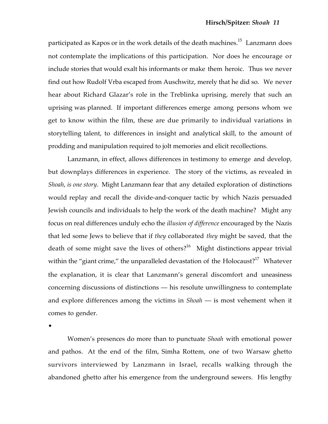participated as Kapos or in the work details of the death machines.<sup>15</sup> Lanzmann does not contemplate the implications of this participation. Nor does he encourage or include stories that would exalt his informants or make them heroic. Thus we never find out how Rudolf Vrba escaped from Auschwitz, merely that he did so. We never hear about Richard Glazar's role in the Treblinka uprising, merely that such an uprising was planned. If important differences emerge among persons whom we get to know within the film, these are due primarily to individual variations in storytelling talent, to differences in insight and analytical skill, to the amount of prodding and manipulation required to jolt memories and elicit recollections.

Lanzmann, in effect, allows differences in testimony to emerge and develop, but downplays differences in experience. The story of the victims, as revealed in *Shoah*, *is one story*. Might Lanzmann fear that any detailed exploration of distinctions would replay and recall the divide-and-conquer tactic by which Nazis persuaded Jewish councils and individuals to help the work of the death machine? Might any focus on real differences unduly echo the *illusion of difference* encouraged by the Nazis that led some Jews to believe that if *they* collaborated *they* might be saved, that the death of some might save the lives of others?<sup>16</sup> Might distinctions appear trivial within the "giant crime," the unparalleled devastation of the Holocaust?<sup>17</sup> Whatever the explanation, it is clear that Lanzmann's general discomfort and uneasiness concerning discussions of distinctions — his resolute unwillingness to contemplate and explore differences among the victims in *Shoah* — is most vehement when it comes to gender.

•

Women's presences do more than to punctuate *Shoah* with emotional power and pathos. At the end of the film, Simha Rottem, one of two Warsaw ghetto survivors interviewed by Lanzmann in Israel, recalls walking through the abandoned ghetto after his emergence from the underground sewers. His lengthy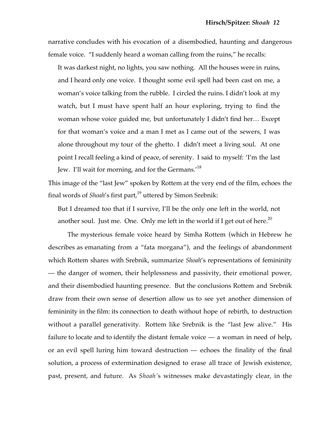narrative concludes with his evocation of a disembodied, haunting and dangerous female voice. "I suddenly heard a woman calling from the ruins," he recalls:

It was darkest night, no lights, you saw nothing. All the houses were in ruins, and I heard only one voice. I thought some evil spell had been cast on me, a woman's voice talking from the rubble. I circled the ruins. I didn't look at my watch, but I must have spent half an hour exploring, trying to find the woman whose voice guided me, but unfortunately I didn't find her… Except for that woman's voice and a man I met as I came out of the sewers, I was alone throughout my tour of the ghetto. I didn't meet a living soul. At one point I recall feeling a kind of peace, of serenity. I said to myself: 'I'm the last Jew. I'll wait for morning, and for the Germans.'<sup>18</sup>

This image of the "last Jew" spoken by Rottem at the very end of the film, echoes the final words of *Shoah's* first part,<sup>19</sup> uttered by Simon Srebnik:

But I dreamed too that if I survive, I'll be the only one left in the world, not another soul. Just me. One. Only me left in the world if I get out of here.<sup>20</sup>

The mysterious female voice heard by Simha Rottem (which in Hebrew he describes as emanating from a "fata morgana"), and the feelings of abandonment which Rottem shares with Srebnik, summarize *Shoah*'s representations of femininity — the danger of women, their helplessness and passivity, their emotional power, and their disembodied haunting presence. But the conclusions Rottem and Srebnik draw from their own sense of desertion allow us to see yet another dimension of femininity in the film: its connection to death without hope of rebirth, to destruction without a parallel generativity. Rottem like Srebnik is the "last Jew alive." His failure to locate and to identify the distant female voice — a woman in need of help, or an evil spell luring him toward destruction — echoes the finality of the final solution, a process of extermination designed to erase all trace of Jewish existence, past, present, and future. As *Shoah'*s witnesses make devastatingly clear, in the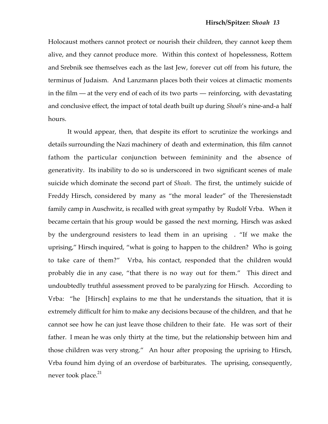Holocaust mothers cannot protect or nourish their children, they cannot keep them alive, and they cannot produce more. Within this context of hopelessness, Rottem and Srebnik see themselves each as the last Jew, forever cut off from his future, the terminus of Judaism. And Lanzmann places both their voices at climactic moments in the film — at the very end of each of its two parts — reinforcing, with devastating and conclusive effect, the impact of total death built up during *Shoah*'s nine-and-a half hours.

It would appear, then, that despite its effort to scrutinize the workings and details surrounding the Nazi machinery of death and extermination, this film cannot fathom the particular conjunction between femininity and the absence of generativity. Its inability to do so is underscored in two significant scenes of male suicide which dominate the second part of *Shoah*. The first, the untimely suicide of Freddy Hirsch, considered by many as "the moral leader" of the Theresienstadt family camp in Auschwitz, is recalled with great sympathy by Rudolf Vrba. When it became certain that his group would be gassed the next morning, Hirsch was asked by the underground resisters to lead them in an uprising . "If we make the uprising," Hirsch inquired, "what is going to happen to the children? Who is going to take care of them?" Vrba, his contact, responded that the children would probably die in any case, "that there is no way out for them." This direct and undoubtedly truthful assessment proved to be paralyzing for Hirsch. According to Vrba: "he [Hirsch] explains to me that he understands the situation, that it is extremely difficult for him to make any decisions because of the children, and that he cannot see how he can just leave those children to their fate. He was sort of their father. I mean he was only thirty at the time, but the relationship between him and those children was very strong." An hour after proposing the uprising to Hirsch, Vrba found him dying of an overdose of barbiturates. The uprising, consequently, never took place. $^{21}$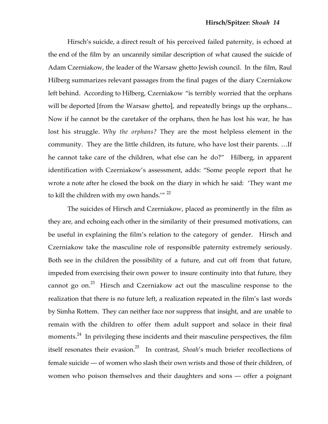Hirsch's suicide, a direct result of his perceived failed paternity, is echoed at the end of the film by an uncannily similar description of what caused the suicide of Adam Czerniakow, the leader of the Warsaw ghetto Jewish council. In the film, Raul Hilberg summarizes relevant passages from the final pages of the diary Czerniakow left behind. According to Hilberg, Czerniakow "is terribly worried that the orphans will be deported [from the Warsaw ghetto], and repeatedly brings up the orphans... Now if he cannot be the caretaker of the orphans, then he has lost his war, he has lost his struggle. *Why the orphans?* They are the most helpless element in the community. They are the little children, its future, who have lost their parents. …If he cannot take care of the children, what else can he do?" Hilberg, in apparent identification with Czerniakow's assessment, adds: "Some people report that he wrote a note after he closed the book on the diary in which he said: 'They want me to kill the children with my own hands." $2^2$ 

The suicides of Hirsch and Czerniakow, placed as prominently in the film as they are, and echoing each other in the similarity of their presumed motivations, can be useful in explaining the film's relation to the category of gender. Hirsch and Czerniakow take the masculine role of responsible paternity extremely seriously. Both see in the children the possibility of a future, and cut off from that future, impeded from exercising their own power to insure continuity into that future, they cannot go on.<sup>23</sup> Hirsch and Czerniakow act out the masculine response to the realization that there is no future left, a realization repeated in the film's last words by Simha Rottem. They can neither face nor suppress that insight, and are unable to remain with the children to offer them adult support and solace in their final moments.<sup>24</sup> In privileging these incidents and their masculine perspectives, the film itself resonates their evasion.<sup>25</sup> In contrast, *Shoah's* much briefer recollections of female suicide — of women who slash their own wrists and those of their children, of women who poison themselves and their daughters and sons — offer a poignant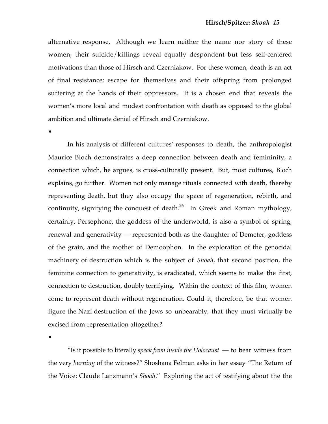alternative response. Although we learn neither the name nor story of these women, their suicide/killings reveal equally despondent but less self-centered motivations than those of Hirsch and Czerniakow. For these women, death is an act of final resistance: escape for themselves and their offspring from prolonged suffering at the hands of their oppressors. It is a chosen end that reveals the women's more local and modest confrontation with death as opposed to the global ambition and ultimate denial of Hirsch and Czerniakow.

In his analysis of different cultures' responses to death, the anthropologist Maurice Bloch demonstrates a deep connection between death and femininity, a connection which, he argues, is cross-culturally present. But, most cultures, Bloch explains, go further. Women not only manage rituals connected with death, thereby representing death, but they also occupy the space of regeneration, rebirth, and continuity, signifying the conquest of death. $^{26}$  In Greek and Roman mythology, certainly, Persephone, the goddess of the underworld, is also a symbol of spring, renewal and generativity — represented both as the daughter of Demeter, goddess of the grain, and the mother of Demoophon. In the exploration of the genocidal machinery of destruction which is the subject of *Shoah*, that second position, the feminine connection to generativity, is eradicated, which seems to make the first, connection to destruction, doubly terrifying. Within the context of this film, women come to represent death without regeneration. Could it, therefore, be that women figure the Nazi destruction of the Jews so unbearably, that they must virtually be excised from representation altogether?

•

•

"Is it possible to literally *speak from inside the Holocaust* — to bear witness from the very *burning* of the witness?" Shoshana Felman asks in her essay "The Return of the Voice: Claude Lanzmann's *Shoah*." Exploring the act of testifying about the the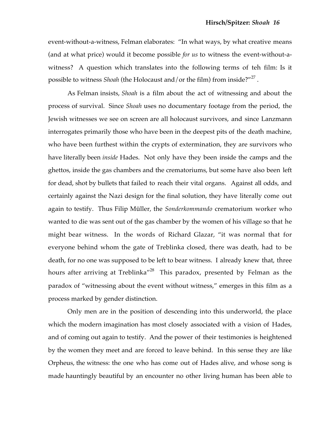event-without-a-witness, Felman elaborates: "In what ways, by what creative means (and at what price) would it become possible *for us* to witness the event-without-awitness? A question which translates into the following terms of teh film: Is it possible to witness *Shoah* (the Holocaust and/or the film) from inside?"<sup>27</sup>.

As Felman insists, *Shoah* is a film about the act of witnessing and about the process of survival. Since *Shoah* uses no documentary footage from the period, the Jewish witnesses we see on screen are all holocaust survivors, and since Lanzmann interrogates primarily those who have been in the deepest pits of the death machine, who have been furthest within the crypts of extermination, they are survivors who have literally been *inside* Hades. Not only have they been inside the camps and the ghettos, inside the gas chambers and the crematoriums, but some have also been left for dead, shot by bullets that failed to reach their vital organs. Against all odds, and certainly against the Nazi design for the final solution, they have literally come out again to testify. Thus Filip Müller, the *Sonderkommando* crematorium worker who wanted to die was sent out of the gas chamber by the women of his village so that he might bear witness. In the words of Richard Glazar, "it was normal that for everyone behind whom the gate of Treblinka closed, there was death, had to be death, for no one was supposed to be left to bear witness. I already knew that, three hours after arriving at Treblinka"<sup>28</sup> This paradox, presented by Felman as the paradox of "witnessing about the event without witness," emerges in this film as a process marked by gender distinction.

Only men are in the position of descending into this underworld, the place which the modern imagination has most closely associated with a vision of Hades, and of coming out again to testify. And the power of their testimonies is heightened by the women they meet and are forced to leave behind. In this sense they are like Orpheus, the witness: the one who has come out of Hades alive, and whose song is made hauntingly beautiful by an encounter no other living human has been able to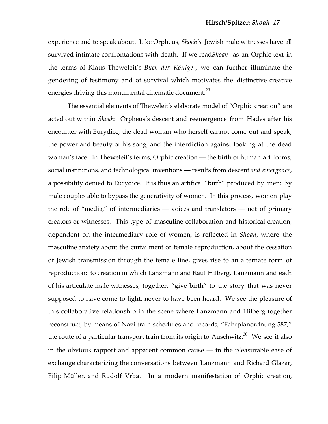experience and to speak about. Like Orpheus, *Shoah's* Jewish male witnesses have all survived intimate confrontations with death. If we read*Shoah* as an Orphic text in the terms of Klaus Theweleit's *Buch der Könige* , we can further illuminate the gendering of testimony and of survival which motivates the distinctive creative energies driving this monumental cinematic document.<sup>29</sup>

The essential elements of Theweleit's elaborate model of "Orphic creation" are acted out within *Shoah*: Orpheus's descent and reemergence from Hades after his encounter with Eurydice, the dead woman who herself cannot come out and speak, the power and beauty of his song, and the interdiction against looking at the dead woman's face. In Theweleit's terms, Orphic creation — the birth of human art forms, social institutions, and technological inventions — results from descent *and emergence,* a possibility denied to Eurydice. It is thus an artifical "birth" produced by men: by male couples able to bypass the generativity of women. In this process, women play the role of "media," of intermediaries — voices and translators — not of primary creators or witnesses. This type of masculine collaboration and historical creation, dependent on the intermediary role of women, is reflected in *Shoah,* where the masculine anxiety about the curtailment of female reproduction, about the cessation of Jewish transmission through the female line, gives rise to an alternate form of reproduction: to creation in which Lanzmann and Raul Hilberg, Lanzmann and each of his articulate male witnesses, together, "give birth" to the story that was never supposed to have come to light, never to have been heard. We see the pleasure of this collaborative relationship in the scene where Lanzmann and Hilberg together reconstruct, by means of Nazi train schedules and records, "Fahrplanordnung 587," the route of a particular transport train from its origin to Auschwitz.<sup>30</sup> We see it also in the obvious rapport and apparent common cause — in the pleasurable ease of exchange characterizing the conversations between Lanzmann and Richard Glazar, Filip Müller, and Rudolf Vrba. In a modern manifestation of Orphic creation,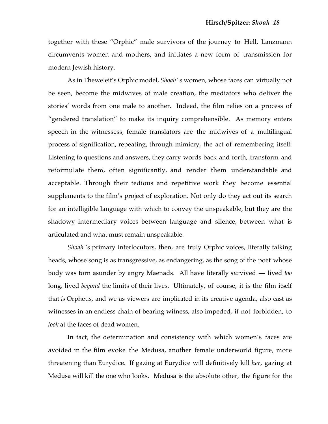together with these "Orphic" male survivors of the journey to Hell, Lanzmann circumvents women and mothers, and initiates a new form of transmission for modern Jewish history.

As in Theweleit's Orphic model, *Shoah'* s women, whose faces can virtually not be seen, become the midwives of male creation, the mediators who deliver the stories' words from one male to another. Indeed, the film relies on a process of "gendered translation" to make its inquiry comprehensible. As memory enters speech in the witnessess, female translators are the midwives of a multilingual process of signification, repeating, through mimicry, the act of remembering itself. Listening to questions and answers, they carry words back and forth, transform and reformulate them, often significantly, and render them understandable and acceptable. Through their tedious and repetitive work they become essential supplements to the film's project of exploration. Not only do they act out its search for an intelligible language with which to convey the unspeakable, but they are the shadowy intermediary voices between language and silence, between what is articulated and what must remain unspeakable.

*Shoah* 's primary interlocutors, then, are truly Orphic voices, literally talking heads, whose song is as transgressive, as endangering, as the song of the poet whose body was torn asunder by angry Maenads. All have literally *sur*vived — lived *too* long, lived *beyond* the limits of their lives. Ultimately, of course, it is the film itself that *is* Orpheus, and we as viewers are implicated in its creative agenda, also cast as witnesses in an endless chain of bearing witness, also impeded, if not forbidden, to *look* at the faces of dead women.

In fact, the determination and consistency with which women's faces are avoided in the film evoke the Medusa, another female underworld figure, more threatening than Eurydice. If gazing at Eurydice will definitively kill *her*, gazing at Medusa will kill the one who looks. Medusa is the absolute other, the figure for the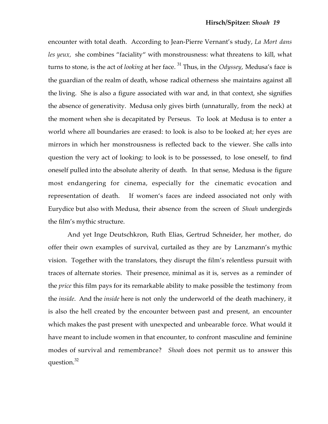encounter with total death. According to Jean-Pierre Vernant's study, *La Mort dans les yeux,* she combines "faciality" with monstrousness: what threatens to kill, what turns to stone, is the act of *looking* at her face. 31 Thus, in the *Odyssey*, Medusa's face is the guardian of the realm of death, whose radical otherness she maintains against all the living. She is also a figure associated with war and, in that context, she signifies the absence of generativity. Medusa only gives birth (unnaturally, from the neck) at the moment when she is decapitated by Perseus. To look at Medusa is to enter a world where all boundaries are erased: to look is also to be looked at; her eyes are mirrors in which her monstrousness is reflected back to the viewer. She calls into question the very act of looking: to look is to be possessed, to lose oneself, to find oneself pulled into the absolute alterity of death. In that sense, Medusa is the figure most endangering for cinema, especially for the cinematic evocation and representation of death. If women's faces are indeed associated not only with Eurydice but also with Medusa, their absence from the screen of *Shoah* undergirds the film's mythic structure.

And yet Inge Deutschkron, Ruth Elias, Gertrud Schneider, her mother, do offer their own examples of survival, curtailed as they are by Lanzmann's mythic vision. Together with the translators, they disrupt the film's relentless pursuit with traces of alternate stories. Their presence, minimal as it is, serves as a reminder of the *price* this film pays for its remarkable ability to make possible the testimony from the *inside*. And the *inside* here is not only the underworld of the death machinery, it is also the hell created by the encounter between past and present, an encounter which makes the past present with unexpected and unbearable force. What would it have meant to include women in that encounter, to confront masculine and feminine modes of survival and remembrance? *Shoah* does not permit us to answer this question.32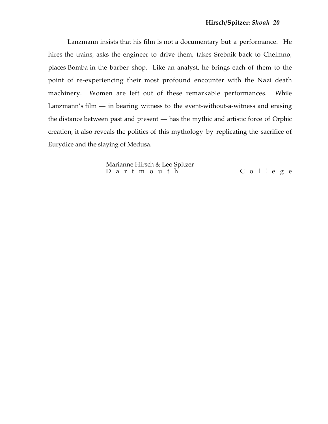Lanzmann insists that his film is not a documentary but a performance. He hires the trains, asks the engineer to drive them, takes Srebnik back to Chelmno, places Bomba in the barber shop. Like an analyst, he brings each of them to the point of re-experiencing their most profound encounter with the Nazi death machinery. Women are left out of these remarkable performances. While Lanzmann's film — in bearing witness to the event-without-a-witness and erasing the distance between past and present — has the mythic and artistic force of Orphic creation, it also reveals the politics of this mythology by replicating the sacrifice of Eurydice and the slaying of Medusa.

> Marianne Hirsch & Leo Spitzer Dartmouth College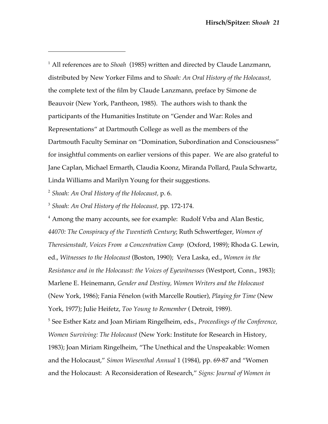<sup>1</sup> All references are to *Shoah* (1985) written and directed by Claude Lanzmann, distributed by New Yorker Films and to *Shoah: An Oral History of the Holocaust,* the complete text of the film by Claude Lanzmann, preface by Simone de Beauvoir (New York, Pantheon, 1985). The authors wish to thank the participants of the Humanities Institute on "Gender and War: Roles and Representations" at Dartmouth College as well as the members of the Dartmouth Faculty Seminar on "Domination, Subordination and Consciousness" for insightful comments on earlier versions of this paper. We are also grateful to Jane Caplan, Michael Ermarth, Claudia Koonz, Miranda Pollard, Paula Schwartz, Linda Williams and Marilyn Young for their suggestions.

<sup>2</sup> *Shoah: An Oral History of the Holocaust,* p. 6.

 $\overline{a}$ 

<sup>3</sup> *Shoah: An Oral History of the Holocaust,* pp. 172-174.

<sup>4</sup> Among the many accounts, see for example: Rudolf Vrba and Alan Bestic, *44070: The Conspiracy of the Twentieth Century*; Ruth Schwertfeger, *Women of Theresienstadt, Voices From a Concentration Camp* (Oxford, 1989); Rhoda G. Lewin, ed., *Witnesses to the Holocaust* (Boston, 1990); Vera Laska, ed., *Women in the Resistance and in the Holocaust: the Voices of Eyewitnesses* (Westport, Conn., 1983); Marlene E. Heinemann, *Gender and Destiny, Women Writers and the Holocaust* (New York, 1986); Fania Fénelon (with Marcelle Routier), *Playing for Time* (New York, 1977); Julie Heifetz, *Too Young to Remember* ( Detroit, 1989).

<sup>5</sup> See Esther Katz and Joan Miriam Ringelheim, eds., *Proceedings of the Conference, Women Surviving: The Holocaust* (New York: Institute for Research in History, 1983); Joan Miriam Ringelheim, "The Unethical and the Unspeakable: Women and the Holocaust," *Simon Wiesenthal Annual* 1 (1984), pp. 69-87 and "Women and the Holocaust: A Reconsideration of Research," *Signs: Journal of Women in*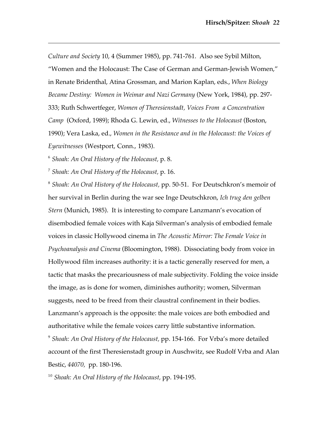*Culture and Society* 10, 4 (Summer 1985), pp. 741-761. Also see Sybil Milton, "Women and the Holocaust: The Case of German and German-Jewish Women," in Renate Bridenthal, Atina Grossman, and Marion Kaplan, eds., *When Biology Became Destiny: Women in Weimar and Nazi Germany* (New York, 1984), pp. 297- 333; Ruth Schwertfeger, *Women of Theresienstadt, Voices From a Concentration Camp* (Oxford, 1989); Rhoda G. Lewin, ed., *Witnesses to the Holocaust* (Boston, 1990); Vera Laska, ed., *Women in the Resistance and in the Holocaust: the Voices of Eyewitnesses* (Westport, Conn., 1983).

<sup>6</sup> *Shoah: An Oral History of the Holocaust,* p. 8.

 $\overline{a}$ 

<sup>7</sup> *Shoah: An Oral History of the Holocaust,* p. 16.

<sup>8</sup> *Shoah: An Oral History of the Holocaust,* pp. 50-51. For Deutschkron's memoir of her survival in Berlin during the war see Inge Deutschkron, *Ich trug den gelben Stern* (Munich, 1985). It is interesting to compare Lanzmann's evocation of disembodied female voices with Kaja Silverman's analysis of embodied female voices in classic Hollywood cinema in *The Acoustic Mirror: The Female Voice in Psychoanalysis and Cinema* (Bloomington, 1988). Dissociating body from voice in Hollywood film increases authority: it is a tactic generally reserved for men, a tactic that masks the precariousness of male subjectivity. Folding the voice inside the image, as is done for women, diminishes authority; women, Silverman suggests, need to be freed from their claustral confinement in their bodies. Lanzmann's approach is the opposite: the male voices are both embodied and authoritative while the female voices carry little substantive information.

<sup>9</sup> *Shoah: An Oral History of the Holocaust,* pp. 154-166. For Vrba's more detailed account of the first Theresienstadt group in Auschwitz, see Rudolf Vrba and Alan Bestic, *44070,* pp. 180-196.

<sup>10</sup> *Shoah: An Oral History of the Holocaust,* pp. 194-195.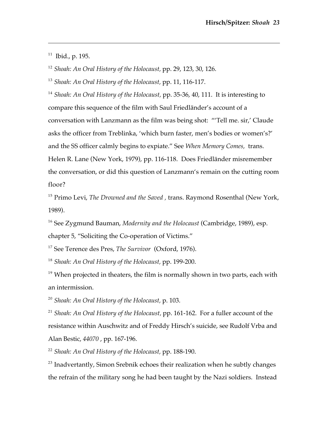$11$  Ibid., p. 195.

 $\overline{a}$ 

<sup>12</sup> *Shoah: An Oral History of the Holocaust,* pp. 29, 123, 30, 126.

<sup>13</sup> *Shoah: An Oral History of the Holocaust,* pp. 11, 116-117.

<sup>14</sup> *Shoah: An Oral History of the Holocaust,* pp. 35-36, 40, 111. It is interesting to compare this sequence of the film with Saul Friedländer's account of a conversation with Lanzmann as the film was being shot: "'Tell me. sir,' Claude asks the officer from Treblinka, 'which burn faster, men's bodies or women's?' and the SS officer calmly begins to expiate." See *When Memory Comes,* trans. Helen R. Lane (New York, 1979), pp. 116-118. Does Friedländer misremember the conversation, or did this question of Lanzmann's remain on the cutting room floor?

<sup>15</sup> Primo Levi, *The Drowned and the Saved ,* trans. Raymond Rosenthal (New York, 1989).

<sup>16</sup> See Zygmund Bauman, *Modernity and the Holocaust* (Cambridge, 1989), esp. chapter 5, "Soliciting the Co-operation of Victims."

<sup>17</sup> See Terence des Pres, *The Survivor* (Oxford, 1976).

<sup>18</sup> *Shoah: An Oral History of the Holocaust,* pp. 199-200.

 $19$  When projected in theaters, the film is normally shown in two parts, each with an intermission.

<sup>20</sup> *Shoah: An Oral History of the Holocaust,* p. 103.

<sup>21</sup> *Shoah: An Oral History of the Holocaust,* pp. 161-162. For a fuller account of the resistance within Auschwitz and of Freddy Hirsch's suicide, see Rudolf Vrba and Alan Bestic, *44070* , pp. 167-196.

<sup>22</sup> *Shoah: An Oral History of the Holocaust,* pp. 188-190.

 $23$  Inadvertantly, Simon Srebnik echoes their realization when he subtly changes the refrain of the military song he had been taught by the Nazi soldiers. Instead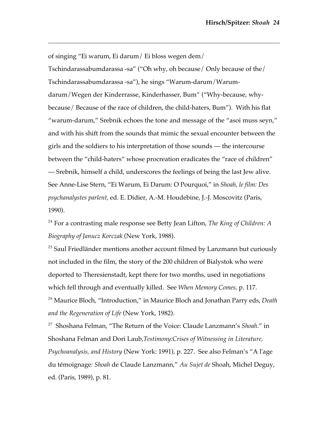of singing "Ei warum, Ei darum/ Ei bloss wegen dem/

 $\overline{a}$ 

Tschindarassabumdarassa -sa" ("Oh why, oh because/ Only because of the/ Tschindarassabumdarassa -sa"), he sings "Warum-darum/Warumdarum/Wegen der Kinderrasse, Kinderhasser, Bum" ("Why-because, whybecause/ Because of the race of children, the child-haters, Bum"). With his flat "warum-darum," Srebnik echoes the tone and message of the "asoi muss seyn," and with his shift from the sounds that mimic the sexual encounter between the girls and the soldiers to his interpretation of those sounds — the intercourse between the "child-haters" whose procreation eradicates the "race of children" — Srebnik, himself a child, underscores the feelings of being the last Jew alive. See Anne-Lise Stern, "Ei Warum, Ei Darum: O Pourquoi," in *Shoah, le film: Des psychanalystes parlent,* ed. E. Didier, A.-M. Houdebine, J.-J. Moscovitz (Paris, 1990).

<sup>24</sup> For a contrasting male response see Betty Jean Lifton, *The King of Children: A Biography of Janucz Korczak* (New York, 1988).

 $^{25}$  Saul Friedländer mentions another account filmed by Lanzmann but curiously not included in the film, the story of the 200 children of Bialystok who were deported to Theresienstadt, kept there for two months, used in negotiations which fell through and eventually killed. See *When Memory Comes,* p. 117. 26 Maurice Bloch, "Introduction," in Maurice Bloch and Jonathan Parry eds, *Death and the Regeneration of Life* (New York, 1982).

27 Shoshana Felman, "The Return of the Voice: Claude Lanzmann's *Shoah*." in Shoshana Felman and Dori Laub,*Testimony:Crises of Witnessing in Literature, Psychoanalysis, and History* (New York: 1991), p. 227. See also Felman's "A l'age du témoignage*: Shoah* de Claude Lanzmann," *Au Sujet de* Shoah, Michel Deguy, ed. (Paris, 1989), p. 81.